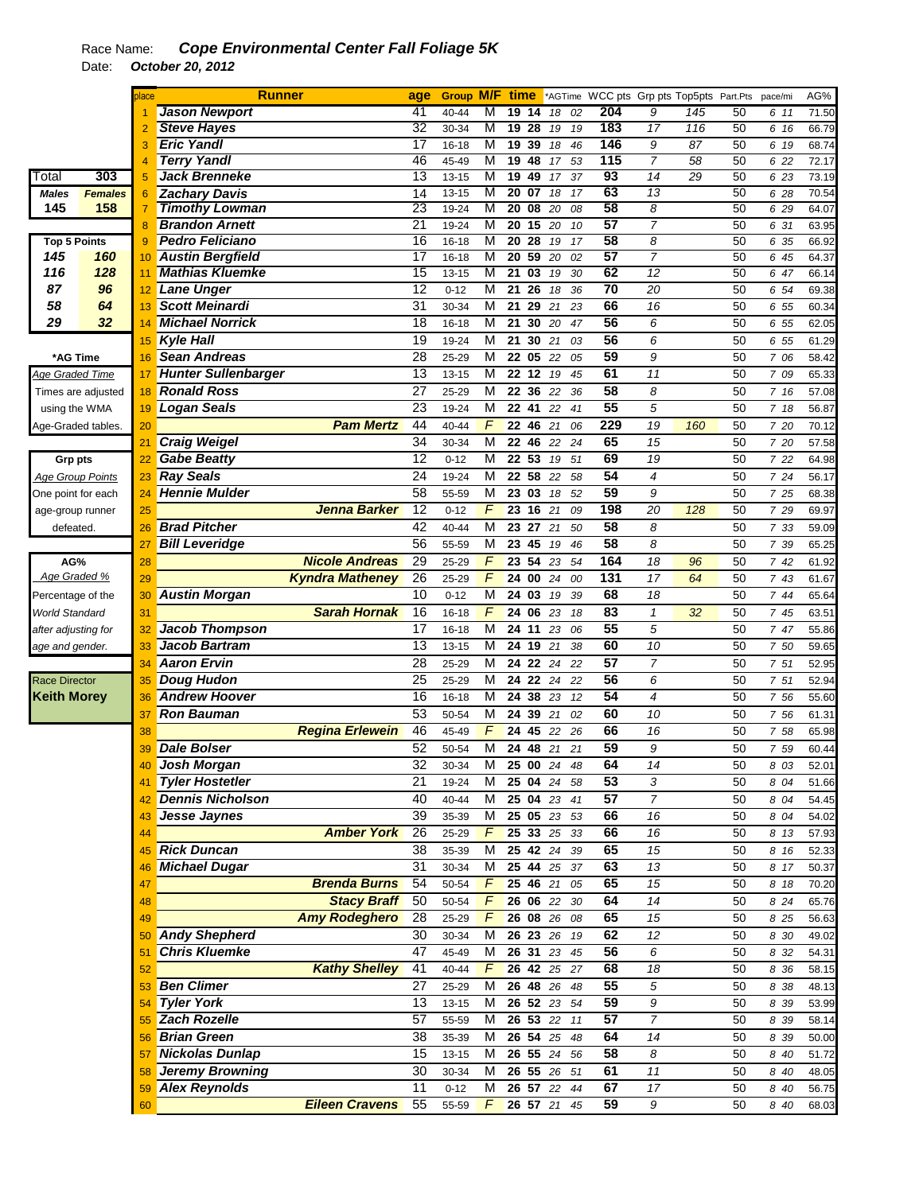|                         |                    | blace           | <b>Runner</b>              |                        | age             |           |                |                                    |    |       |                 | Group M/F time *AGTime WCC pts Grp pts Top5pts Part.Pts |     |    | pace/mi | AG%   |
|-------------------------|--------------------|-----------------|----------------------------|------------------------|-----------------|-----------|----------------|------------------------------------|----|-------|-----------------|---------------------------------------------------------|-----|----|---------|-------|
|                         |                    |                 | <b>Jason Newport</b>       |                        | 41              | 40-44     | M              | 19<br>14                           | 18 | 02    | 204             | 9                                                       | 145 | 50 | 6 11    | 71.50 |
|                         |                    |                 | <b>Steve Hayes</b>         |                        | 32              | 30-34     | M              | 19<br>$\overline{28}$              | 19 | 19    | 183             | $\overline{17}$                                         | 116 | 50 | 6 16    | 66.79 |
|                         |                    |                 | <b>Eric Yandl</b>          |                        | $\overline{17}$ | 16-18     | M              | 1939                               | 18 | 46    | 146             | 9                                                       | 87  | 50 | 6 19    | 68.74 |
|                         |                    | 4               | <b>Terry Yandl</b>         |                        | 46              | 45-49     | M              | 19<br>48                           |    | 17 53 | 115             | $\overline{7}$                                          | 58  | 50 | 6 22    | 72.17 |
| Total                   | 303                | 5               | <b>Jack Brenneke</b>       |                        | 13              | 13-15     | M              | 19<br>49                           | 17 | 37    | 93              | 14                                                      | 29  | 50 | 6 23    | 73.19 |
| <b>Males</b>            | <b>Females</b>     | 6               | <b>Zachary Davis</b>       |                        | 14              | 13-15     | M              | $20$ 07                            | 18 | 17    | 63              | 13                                                      |     | 50 | 6 28    | 70.54 |
| 145                     | 158                |                 | <b>Timothy Lowman</b>      |                        | 23              | 19-24     | M              | 20 08 20                           |    | 08    | 58              | 8                                                       |     | 50 | 6 29    | 64.07 |
|                         |                    |                 | <b>Brandon Arnett</b>      |                        | $\overline{21}$ | 19-24     | M              | 20<br>15                           | 20 | 10    | 57              | $\overline{7}$                                          |     | 50 | 6 31    | 63.95 |
| <b>Top 5 Points</b>     |                    | 9               | <b>Pedro Feliciano</b>     |                        | 16              | $16 - 18$ | M              | $20\overline{28}$                  | 19 | 17    | 58              | 8                                                       |     | 50 | 6 35    | 66.92 |
| 145                     | 160                | 10              | <b>Austin Bergfield</b>    |                        | $\overline{17}$ | 16-18     | M              | $\overline{20}$<br>59              | 20 | 02    | 57              | $\overline{7}$                                          |     | 50 | 6 45    | 64.37 |
| 116                     | 128                | 11              | <b>Mathias Kluemke</b>     |                        | 15              | $13 - 15$ | M              | $\overline{21}$<br>$\overline{03}$ | 19 | 30    | 62              | $\overline{12}$                                         |     | 50 | 6 47    | 66.14 |
| 87                      | 96                 |                 | 12 Lane Unger              |                        | 12              | $0 - 12$  | M              | $21\overline{26}$                  | 18 | 36    | 70              | 20                                                      |     | 50 | 6 54    | 69.38 |
| 58                      | 64                 | 13              | Scott Meinardi             |                        | 31              | 30-34     | М              | 21 29                              | 21 | 23    | 66              | 16                                                      |     | 50 | 6 55    | 60.34 |
| 29                      | 32                 | 14              | <b>Michael Norrick</b>     |                        | 18              | 16-18     | M              | 21 30                              | 20 | 47    | 56              | 6                                                       |     | 50 | 6 55    | 62.05 |
|                         |                    | 15              | <b>Kyle Hall</b>           |                        | 19              | 19-24     | M              | 21 30                              | 21 | 03    | 56              | 6                                                       |     | 50 | 6 55    | 61.29 |
| *AG Time                |                    | 16              | Sean Andreas               |                        | 28              | 25-29     | M              | 22 05                              | 22 | 05    | 59              | 9                                                       |     | 50 | 7 06    | 58.42 |
| Age Graded Time         |                    | 17              | <b>Hunter Sullenbarger</b> |                        | 13              | 13-15     | M              | 22 12                              | 19 | 45    | 61              | 11                                                      |     | 50 | 7 09    | 65.33 |
|                         | Times are adjusted | 18              | <b>Ronald Ross</b>         |                        | 27              | 25-29     | M              | 22 36                              | 22 | 36    | 58              | 8                                                       |     | 50 | 7 16    | 57.08 |
| using the WMA           |                    | 19              | Logan Seals                |                        | $\overline{23}$ | 19-24     | M              | $22 \t 41$                         | 22 | 41    | 55              | 5                                                       |     | 50 | 7 18    | 56.87 |
| Age-Graded tables.      |                    | 20              |                            | <b>Pam Mertz</b>       | 44              | 40-44     | F              | 22 46 21                           |    | 06    | 229             | 19                                                      | 160 | 50 | 7 20    | 70.12 |
|                         |                    | $\overline{21}$ | <b>Craig Weigel</b>        |                        | $\overline{34}$ | 30-34     | M              | 46<br>22                           | 22 | 24    | 65              | 15                                                      |     | 50 | 7 20    | 57.58 |
| Grp pts                 |                    | 22              | <b>Gabe Beatty</b>         |                        | 12              | $0 - 12$  | M              | 22 53                              |    | 19 51 | 69              | 19                                                      |     | 50 | 7 22    | 64.98 |
| <b>Age Group Points</b> |                    | 23              | <b>Ray Seals</b>           |                        | 24              | 19-24     | M              | 22 58                              | 22 | 58    | 54              | 4                                                       |     | 50 | 7 24    | 56.17 |
| One point for each      |                    | 24              | <b>Hennie Mulder</b>       |                        | 58              | 55-59     | M              | 23 03                              | 18 | 52    | 59              | 9                                                       |     | 50 | 7 25    | 68.38 |
| age-group runner        |                    | 25              |                            | Jenna Barker           | 12              | $0 - 12$  | F              | 23<br>16                           | 21 | 09    | 198             | 20                                                      | 128 | 50 | 7 29    | 69.97 |
| defeated.               |                    | 26              | <b>Brad Pitcher</b>        |                        | 42              | 40-44     | M              | 23 27                              | 21 | 50    | 58              | 8                                                       |     | 50 | 7 33    | 59.09 |
|                         |                    | 27              | <b>Bill Leveridge</b>      |                        | 56              | 55-59     | M              | 23 45                              | 19 | 46    | 58              | 8                                                       |     | 50 | 7 39    | 65.25 |
| AG%                     |                    |                 |                            | <b>Nicole Andreas</b>  | 29              | 25-29     | F              | 23 54                              | 23 | 54    | 164             | 18                                                      | 96  | 50 | 742     | 61.92 |
| Age Graded %            |                    | 28              |                            |                        | 26              |           | F              | 24 00                              |    |       | 131             | 17                                                      | 64  | 50 |         |       |
|                         |                    | 29              |                            | <b>Kyndra Matheney</b> | 10              | 25-29     | M              | 24 03                              | 24 | 00    | 68              |                                                         |     | 50 | 7 43    | 61.67 |
| Percentage of the       |                    | 30              | <b>Austin Morgan</b>       |                        |                 | $0 - 12$  | F              |                                    | 19 | 39    | 83              | 18                                                      |     |    | 7 44    | 65.64 |
| <b>World Standard</b>   |                    | 31              |                            | <b>Sarah Hornak</b>    | $\overline{16}$ | $16 - 18$ |                | 24 06                              | 23 | 18    |                 | $\mathbf{1}$                                            | 32  | 50 | 7 45    | 63.51 |
| after adjusting for     |                    | 32              | <b>Jacob Thompson</b>      |                        | $\overline{17}$ | 16-18     | $\overline{M}$ | 24 11                              | 23 | 06    | 55              | 5                                                       |     | 50 | 7 47    | 55.86 |
| age and gender.         |                    | 33              | Jacob Bartram              |                        | 13              | 13-15     | M              | 24<br>19                           | 21 | 38    | 60              | 10                                                      |     | 50 | 7 50    | 59.65 |
|                         |                    | 34              | <b>Aaron Ervin</b>         |                        | 28              | 25-29     | M              | 24 22                              | 24 | 22    | 57              | $\overline{7}$                                          |     | 50 | 7 51    | 52.95 |
| <b>Race Director</b>    |                    | 35              | <b>Doug Hudon</b>          |                        | 25              | 25-29     | M              | 24 22                              | 24 | 22    | 56              | 6                                                       |     | 50 | 7 51    | 52.94 |
| <b>Keith Morey</b>      |                    | 36              | <b>Andrew Hoover</b>       |                        | 16              | 16-18     | M              | 24 38 23 12                        |    |       | $\overline{54}$ | 4                                                       |     | 50 | 7 56    | 55.60 |
|                         |                    | 37              | <b>Ron Bauman</b>          |                        | 53              | 50-54     | М              | 24 39                              | 21 | 02    | 60              | 10                                                      |     | 50 | 7 56    | 61.31 |
|                         |                    | 38              |                            | <b>Regina Erlewein</b> | 46              | 45-49     | F              | 24 45                              |    | 22 26 | 66              | 16                                                      |     | 50 | 7 58    | 65.98 |
|                         |                    | 39              | <b>Dale Bolser</b>         |                        | 52              | 50-54     | M              | 24 48 21                           |    | 21    | 59              | 9                                                       |     | 50 | 7 59    | 60.44 |
|                         |                    |                 | Josh Morgan                |                        | 32              | 30-34     | M              | 25 00 24                           |    | 48    | 64              | 14                                                      |     | 50 | 8 03    | 52.01 |
|                         |                    | 41              | Tyler Hostetler            |                        | 21              | 19-24     | м              | 25 04 24 58                        |    |       | 53              | 3                                                       |     | 50 | 8 04    | 51.66 |
|                         |                    | 42              | <b>Dennis Nicholson</b>    |                        | 40              | 40-44     | М              | 25 04 23 41                        |    |       | 57              | 7                                                       |     | 50 | 8 04    | 54.45 |
|                         |                    | 43              | Jesse Jaynes               |                        | $\overline{39}$ | 35-39     | М              | 25 05 23 53                        |    |       | 66              | 16                                                      |     | 50 | 8 04    | 54.02 |
|                         |                    | 44              |                            | <b>Amber York</b>      | 26              | 25-29     | $\sqrt{F}$     | 25 33 25 33                        |    |       | 66              | 16                                                      |     | 50 | 8 13    | 57.93 |
|                         |                    | 45              | <b>Rick Duncan</b>         |                        | 38              | 35-39     | M              | 25 42 24 39                        |    |       | 65              | 15                                                      |     | 50 | 8 16    | 52.33 |
|                         |                    | 46              | <b>Michael Dugar</b>       |                        | 31              | 30-34     | M              | 25 44 25 37                        |    |       | 63              | 13                                                      |     | 50 | 8 17    | 50.37 |
|                         |                    | 47              |                            | <b>Brenda Burns</b>    | 54              | 50-54     | F              | 25 46 21 05                        |    |       | 65              | 15                                                      |     | 50 | 8 18    | 70.20 |
|                         |                    | 48              |                            | <b>Stacy Braff</b>     | 50              | 50-54     | $\sqrt{2}$     | 26 06 22 30                        |    |       | 64              | 14                                                      |     | 50 | 8 24    | 65.76 |
|                         |                    | 49              |                            | <b>Amy Rodeghero</b>   | 28              | 25-29     | $\sqrt{2}$     | 26 08 26 08                        |    |       | 65              | 15                                                      |     | 50 | 8 25    | 56.63 |
|                         |                    | 50              | <b>Andy Shepherd</b>       |                        | 30              | 30-34     | M              | 26 23 26                           |    | 19    | 62              | 12                                                      |     | 50 | 8 30    | 49.02 |
|                         |                    | 51              | <b>Chris Kluemke</b>       |                        | 47              | 45-49     | м              | 26 31 23 45                        |    |       | 56              | 6                                                       |     | 50 | 8 32    | 54.31 |
|                         |                    | 52              |                            | <b>Kathy Shelley</b>   | 41              | 40-44     | $\sqrt{2}$     | 26 42 25 27                        |    |       | 68              | 18                                                      |     | 50 | 8 36    | 58.15 |
|                         |                    | 53              | <b>Ben Climer</b>          |                        | 27              | 25-29     | M              | 26 48 26 48                        |    |       | 55              | 5                                                       |     | 50 | 8 38    | 48.13 |
|                         |                    | 54              | <b>Tyler York</b>          |                        | 13              | 13-15     | M              | 26 52 23 54                        |    |       | 59              | 9                                                       |     | 50 | 8 39    | 53.99 |
|                         |                    | 55              | Zach Rozelle               |                        | $\overline{57}$ | 55-59     | м              | 26 53 22 11                        |    |       | $\overline{57}$ | 7                                                       |     | 50 | 8 39    | 58.14 |
|                         |                    | 56              | <b>Brian Green</b>         |                        | 38              | 35-39     | M              | 26 54 25 48                        |    |       | 64              | 14                                                      |     | 50 | 8 39    | 50.00 |
|                         |                    | 57              | Nickolas Dunlap            |                        | 15              | 13-15     | M              | 26 55 24 56                        |    |       | 58              | 8                                                       |     | 50 | 8 40    | 51.72 |
|                         |                    | 58              | <b>Jeremy Browning</b>     |                        | 30              | 30-34     | м              | 26 55 26 51                        |    |       | 61              | 11                                                      |     | 50 | 8 40    | 48.05 |
|                         |                    |                 | 59 Alex Reynolds           |                        | 11              | $0 - 12$  | м              | 26 57 22 44                        |    |       | 67              | 17                                                      |     | 50 | 8 40    | 56.75 |
|                         |                    |                 |                            | <b>Eileen Cravens</b>  | 55              |           | $\mathcal{F}$  | 26 57 21 45                        |    |       | 59              | 9                                                       |     | 50 |         |       |
|                         |                    | 60              |                            |                        |                 | 55-59     |                |                                    |    |       |                 |                                                         |     |    | 8 40    | 68.03 |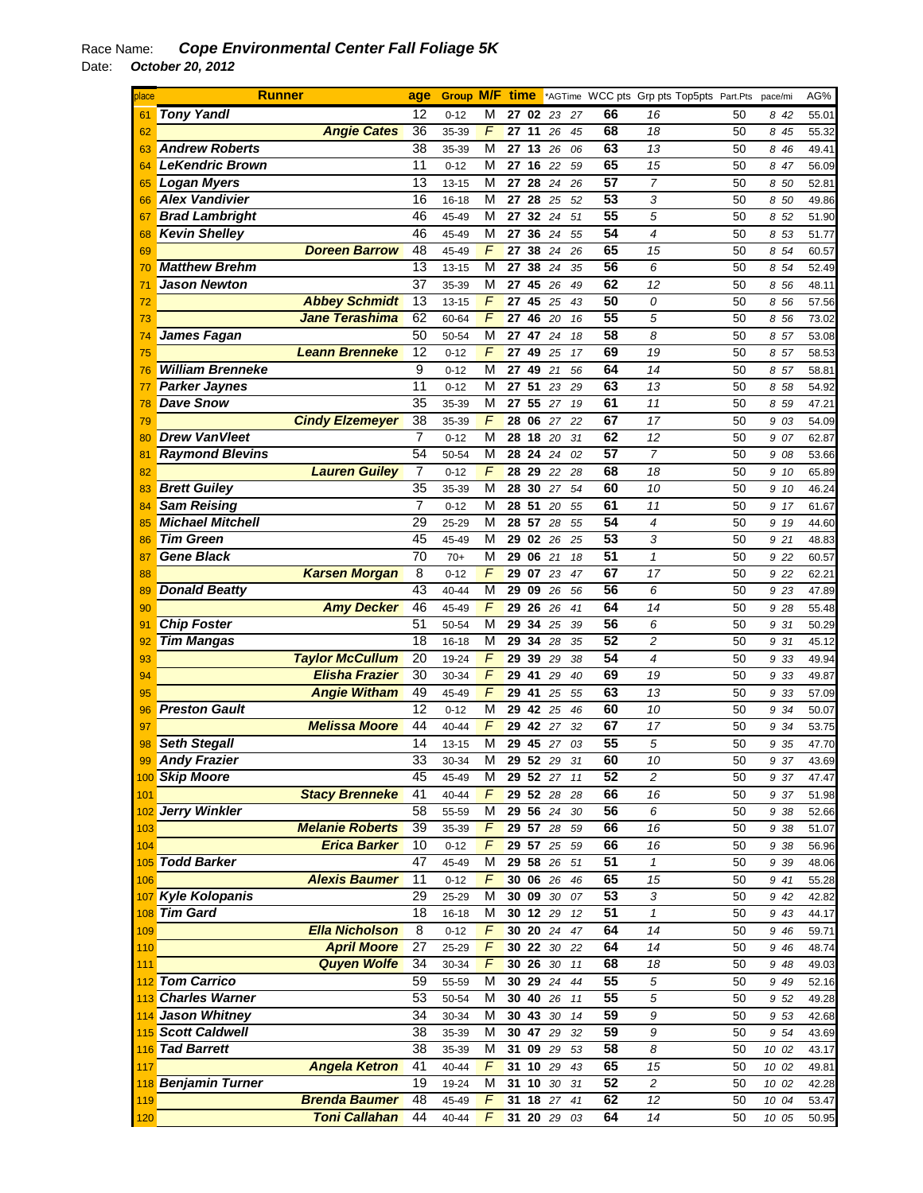| place | <b>Runner</b>           | age                                   | <b>Group M/F time</b> |                |          |          |             |                 | *AGTime WCC pts Grp pts Top5pts Part.Pts |    | pace/mi | AG%   |
|-------|-------------------------|---------------------------------------|-----------------------|----------------|----------|----------|-------------|-----------------|------------------------------------------|----|---------|-------|
| 61    | <b>Tony Yandl</b>       | 12                                    | $0 - 12$              | M              |          | 27 02 23 | 27          | 66              | 16                                       | 50 | 842     | 55.01 |
| 62    |                         | 36<br><b>Angie Cates</b>              | 35-39                 | $\sqrt{2}$     | 27       | 11<br>26 | 45          | 68              | 18                                       | 50 | 8 45    | 55.32 |
| 63    | <b>Andrew Roberts</b>   | 38                                    | 35-39                 | M              | 27 13    | 26       | 06          | 63              | 13                                       | 50 | 8 4 6   | 49.41 |
| 64    | <b>LeKendric Brown</b>  | 11                                    | $0 - 12$              | M              | 27 16    | 22       | 59          | 65              | 15                                       | 50 | 8 47    | 56.09 |
| 65    | <b>Logan Myers</b>      | 13                                    | 13-15                 | М              | 27 28    |          | 24<br>26    | 57              | $\overline{7}$                           | 50 | 8 50    | 52.81 |
| 66    | <b>Alex Vandivier</b>   | 16                                    | $16 - 18$             | M              | 27 28    | 25       | 52          | 53              | 3                                        | 50 | 8 50    | 49.86 |
| 67    | <b>Brad Lambright</b>   | 46                                    | 45-49                 | M              | 27 32    | 24       | 51          | 55              | 5                                        | 50 | 8 52    | 51.90 |
| 68    | <b>Kevin Shelley</b>    | 46                                    | 45-49                 | М              | 27       | 36<br>24 | 55          | $\overline{54}$ | $\overline{\mathcal{A}}$                 | 50 | 8 53    | 51.77 |
|       |                         | 48<br><b>Doreen Barrow</b>            |                       | F              | 27       | 38       |             | 65              | 15                                       | 50 |         |       |
| 69    |                         |                                       | 45-49                 |                |          | 24       | 26          | 56              |                                          |    | 8 54    | 60.57 |
| 70    | <b>Matthew Brehm</b>    | 13                                    | $13 - 15$             | M              | 27       | 38<br>24 | 35          |                 | 6                                        | 50 | 8 54    | 52.49 |
| 71    | <b>Jason Newton</b>     | $\overline{37}$                       | 35-39                 | M              | 27 45    | 26       | 49          | 62              | 12                                       | 50 | 8 56    | 48.11 |
| 72    |                         | <b>Abbey Schmidt</b><br>13            | $13 - 15$             | F              | 27 45    | 25       | 43          | 50              | 0                                        | 50 | 8 56    | 57.56 |
| 73    |                         | <b>Jane Terashima</b><br>62           | 60-64                 | F              | 27       | 46<br>20 | 16          | 55              | 5                                        | 50 | 8 56    | 73.02 |
| 74    | <b>James Fagan</b>      | 50                                    | 50-54                 | М              | 27       | 47       | 24<br>18    | 58              | 8                                        | 50 | 8 57    | 53.08 |
| 75    | <b>Leann Brenneke</b>   | 12                                    | $0 - 12$              | F              | 27 49    | 25       | 17          | 69              | 19                                       | 50 | 8 57    | 58.53 |
| 76    | <b>William Brenneke</b> | 9                                     | $0 - 12$              | М              | 27       | 49<br>21 | 56          | 64              | 14                                       | 50 | 8 57    | 58.81 |
| 77    | <b>Parker Jaynes</b>    | 11                                    | $0 - 12$              | М              | 27       | 51<br>23 | 29          | 63              | 13                                       | 50 | 8 58    | 54.92 |
| 78    | <b>Dave Snow</b>        | 35                                    | 35-39                 | М              | 27       | 55<br>27 | 19          | 61              | 11                                       | 50 | 8 59    | 47.21 |
| 79    | <b>Cindy Elzemeyer</b>  | 38                                    | 35-39                 | $\sqrt{2}$     | 28 06    | 27       | 22          | 67              | 17                                       | 50 | 9 03    | 54.09 |
| 80    | <b>Drew VanVleet</b>    | $\overline{7}$                        | $0 - 12$              | M              | 28 18    | 20       | 31          | 62              | 12                                       | 50 | 9 07    | 62.87 |
| 81    | <b>Raymond Blevins</b>  | 54                                    | 50-54                 | M              | 28 24    | 24       | 02          | 57              | $\overline{7}$                           | 50 | 9 08    | 53.66 |
| 82    |                         | <b>Lauren Guiley</b><br>7             | $0 - 12$              | F              | 28 29    | 22       | 28          | 68              | 18                                       | 50 | 9 10    | 65.89 |
| 83    | <b>Brett Guiley</b>     | 35                                    | 35-39                 | M              | 28       | 30<br>27 | 54          | 60              | 10                                       | 50 | 9 10    | 46.24 |
| 84    | <b>Sam Reising</b>      | 7                                     | $0 - 12$              | M              | 28 51    | 20       | 55          | 61              | 11                                       | 50 | 9 17    | 61.67 |
|       | <b>Michael Mitchell</b> | 29                                    |                       | М              | 28       | 57<br>28 | 55          | $\overline{54}$ | $\overline{4}$                           | 50 | 9 19    |       |
| 85    | <b>Tim Green</b>        | 45                                    | 25-29                 | M              |          |          |             | 53              | 3                                        |    |         | 44.60 |
| 86    |                         |                                       | 45-49                 |                | 29 02    | 26       | 25          | $\overline{51}$ |                                          | 50 | 9 21    | 48.83 |
| 87    | <b>Gene Black</b>       | 70                                    | $70+$                 | M              | 29 06    | 21       | 18          |                 | $\mathbf{1}$                             | 50 | 9 22    | 60.57 |
| 88    |                         | 8<br><b>Karsen Morgan</b>             | $0 - 12$              | $\sqrt{2}$     | 29 07    | 23       | 47          | 67              | 17                                       | 50 | 9 22    | 62.21 |
| 89    | <b>Donald Beatty</b>    | 43                                    | 40-44                 | M              | 29 09    | 26       | 56          | 56              | 6                                        | 50 | 9 23    | 47.89 |
| 90    |                         | <b>Amy Decker</b><br>46               | 45-49                 | F              | 29 26    | 26       | 41          | 64              | 14                                       | 50 | 9 28    | 55.48 |
| 91    | <b>Chip Foster</b>      | 51                                    | 50-54                 | M              | 29       | 34       | 25<br>39    | 56              | 6                                        | 50 | 9 31    | 50.29 |
| 92    | <b>Tim Mangas</b>       | 18                                    | 16-18                 | M              | 29 34    | 28       | 35          | 52              | 2                                        | 50 | 9 31    | 45.12 |
| 93    | <b>Taylor McCullum</b>  | 20                                    | 19-24                 | $\sqrt{2}$     | 29       | 39<br>29 | 38          | 54              | $\overline{4}$                           | 50 | 9 33    | 49.94 |
| 94    |                         | <b>Elisha Frazier</b><br>30           | 30-34                 | $\overline{F}$ | 29 41    | 29       | 40          | 69              | 19                                       | 50 | 9 33    | 49.87 |
| 95    |                         | <b>Angie Witham</b><br>49             | 45-49                 | F              | 29       | 41<br>25 | 55          | 63              | 13                                       | 50 | 9 33    | 57.09 |
| 96    | <b>Preston Gault</b>    | 12                                    | $0 - 12$              | М              | 29 42    | 25       | 46          | 60              | 10                                       | 50 | 9 34    | 50.07 |
| 97    |                         | <b>Melissa Moore</b><br>44            | 40-44                 | F              | 29 42    | 27       | 32          | 67              | 17                                       | 50 | 9 34    | 53.75 |
| 98    | <b>Seth Stegall</b>     | 14                                    | 13-15                 | M              | 29       | 45<br>27 | 03          | 55              | 5                                        | 50 | 9 35    | 47.70 |
| 99    | <b>Andy Frazier</b>     | 33                                    | 30-34                 | M              | 29       | 52<br>29 | 31          | 60              | 10                                       | 50 | 9<br>37 | 43.69 |
|       | 100 Skip Moore          | 45                                    | 45-49                 | M              |          |          | 29 52 27 11 | 52              | 2                                        | 50 | 937     | 47.47 |
| 101   |                         | <b>Stacy Brenneke</b><br>41           | 40-44                 | F              |          |          | 29 52 28 28 | 66              | 16                                       | 50 | 9 37    | 51.98 |
|       | 102 Jerry Winkler       | 58                                    | 55-59                 | М              |          |          | 29 56 24 30 | 56              | 6                                        | 50 | 9 38    | 52.66 |
| 103   | <b>Melanie Roberts</b>  | 39                                    | 35-39                 | F              | 29 57    | 28       | 59          | 66              | 16                                       | 50 | 9 38    | 51.07 |
| 104   |                         | <b>Erica Barker</b><br>10             | $0 - 12$              | $\sqrt{2}$     | 29 57    | 25       | 59          | 66              | 16                                       | 50 | 9 38    | 56.96 |
|       | 105 Todd Barker         | 47                                    | 45-49                 | M              |          | 29 58 26 | 51          | 51              | $\mathbf{1}$                             | 50 | 9 3 9   | 48.06 |
| 106   |                         | <b>Alexis Baumer</b><br>11            | $0 - 12$              | $\overline{F}$ |          | 30 06 26 | 46          | 65              | 15                                       | 50 | 9 41    | 55.28 |
| 107   | <b>Kyle Kolopanis</b>   | 29                                    | 25-29                 | M              | 30 09    | $30\,$   | 07          | 53              | 3                                        | 50 | 9 42    | 42.82 |
|       | 108 Tim Gard            | 18                                    | $16 - 18$             | M              |          | 30 12 29 |             | 51              | 1                                        |    |         | 44.17 |
|       |                         | <b>Ella Nicholson</b><br>8            |                       | $\sqrt{2}$     |          |          | 12          | 64              |                                          | 50 | 9 43    |       |
| 109   |                         |                                       | $0 - 12$              |                |          | 30 20 24 | 47          |                 | 14                                       | 50 | 9 4 6   | 59.71 |
| 110   |                         | <b>April Moore</b><br>$\overline{27}$ | 25-29                 | F              |          | 30 22 30 | 22          | 64              | 14                                       | 50 | 9 4 6   | 48.74 |
| 111   |                         | <b>Quyen Wolfe</b><br>34              | 30-34                 | F              |          | 30 26 30 | 11          | 68              | 18                                       | 50 | 9 48    | 49.03 |
|       | 112 Tom Carrico         | 59                                    | 55-59                 | M              |          | 30 29 24 | 44          | 55              | 5                                        | 50 | 9 4 9   | 52.16 |
|       | 113 Charles Warner      | 53                                    | 50-54                 | М              |          | 30 40 26 | 11          | 55              | 5                                        | 50 | 9 52    | 49.28 |
|       | 114 Jason Whitney       | 34                                    | 30-34                 | M              | 30 43    | 30       | 14          | 59              | 9                                        | 50 | 9 53    | 42.68 |
|       | 115 Scott Caldwell      | 38                                    | 35-39                 | M              | 30 47    | 29       | 32          | 59              | 9                                        | 50 | 9 54    | 43.69 |
|       | 116 Tad Barrett         | 38                                    | 35-39                 | M              | 31 09    | 29       | 53          | 58              | 8                                        | 50 | 10 02   | 43.17 |
| 117   |                         | <b>Angela Ketron</b><br>41            | 40-44                 | $\overline{F}$ |          | 31 10 29 | 43          | 65              | 15                                       | 50 | 10 02   | 49.81 |
|       | 118 Benjamin Turner     | $\overline{19}$                       | 19-24                 | M              | 31 10    | $30\,$   | 31          | 52              | $\overline{c}$                           | 50 | 10 02   | 42.28 |
| 119   |                         | <b>Brenda Baumer</b><br>48            | 45-49                 | F              | 31 18 27 |          | 41          | 62              | 12                                       | 50 | 10 04   | 53.47 |
| 120   |                         | <b>Toni Callahan</b><br>44            | 40-44                 | F              |          |          | 31 20 29 03 | 64              | 14                                       | 50 | 10 05   | 50.95 |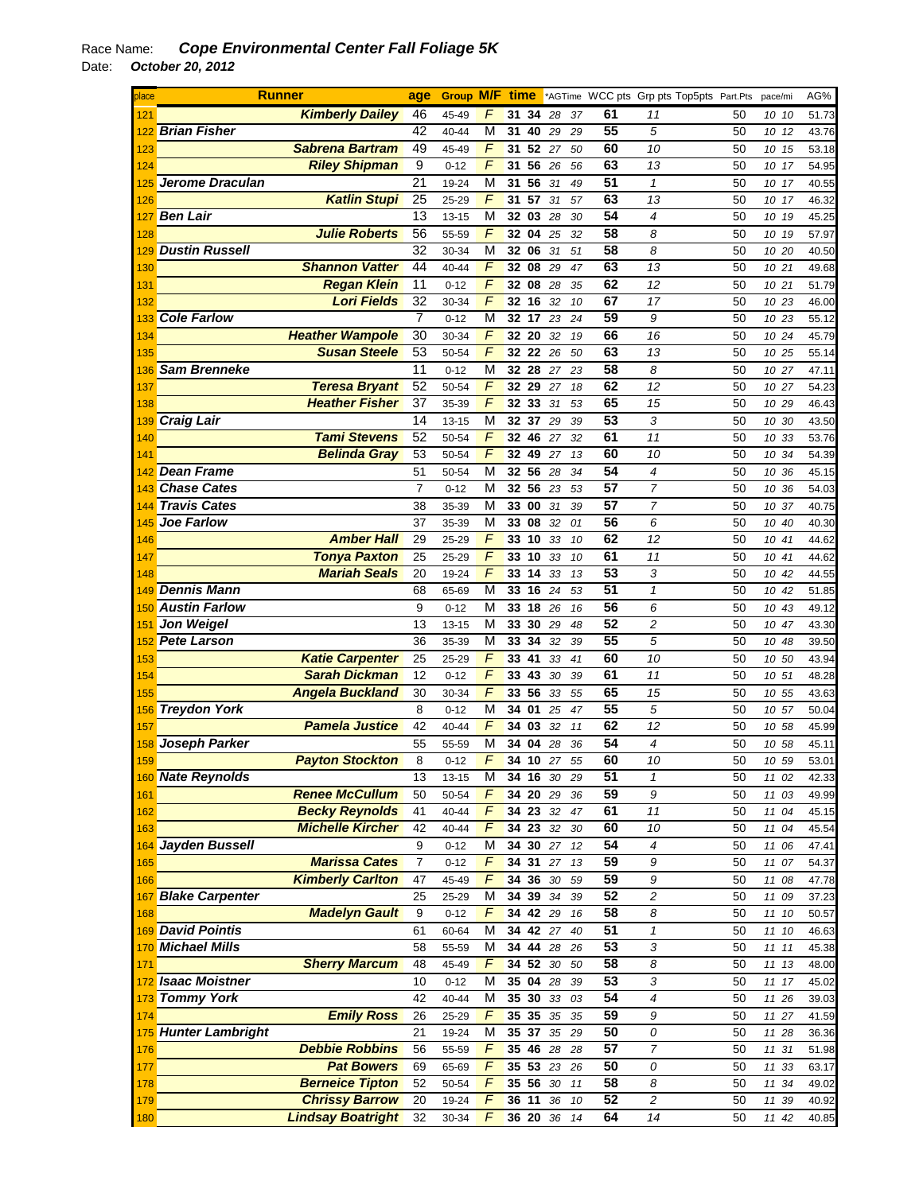| place | <b>Runner</b>          |                          | age              | <b>Group M/F time</b> |                |    |          |        |    |    | *AGTime WCC pts Grp pts Top5pts Part.Pts |    | pace/mi | AG%   |
|-------|------------------------|--------------------------|------------------|-----------------------|----------------|----|----------|--------|----|----|------------------------------------------|----|---------|-------|
| 121   |                        | <b>Kimberly Dailey</b>   | 46               | 45-49                 | F              | 31 | 34       | 28     | 37 | 61 | 11                                       | 50 | 10 10   | 51.73 |
| 122   | <b>Brian Fisher</b>    |                          | 42               | 40-44                 | М              | 31 | 40 29    |        | 29 | 55 | 5                                        | 50 | 10 12   | 43.76 |
| 123   |                        | <b>Sabrena Bartram</b>   | 49               | 45-49                 | F              | 31 | 52 27    |        | 50 | 60 | 10                                       | 50 | 10 15   | 53.18 |
| 124   |                        | <b>Riley Shipman</b>     | 9                | $0 - 12$              | $\overline{F}$ | 31 | 56       | 26     | 56 | 63 | 13                                       | 50 | 10 17   | 54.95 |
| 125   | <b>Jerome Draculan</b> |                          | 21               | 19-24                 | М              | 31 | 56       | 31     | 49 | 51 | $\mathbf{1}$                             | 50 | 10 17   | 40.55 |
| 126   |                        | <b>Katlin Stupi</b>      | 25               | 25-29                 | F              | 31 | 57       | 31     | 57 | 63 | 13                                       | 50 | 10 17   | 46.32 |
| 127   | <b>Ben Lair</b>        |                          | 13               | $13 - 15$             | М              |    | 32 03    | 28     | 30 | 54 | 4                                        | 50 | 10 19   | 45.25 |
| 128   |                        | <b>Julie Roberts</b>     | 56               | 55-59                 | F              |    | 32 04    | 25     | 32 | 58 | 8                                        | 50 | 10 19   | 57.97 |
| 129   | <b>Dustin Russell</b>  |                          | 32               | 30-34                 | М              |    | 32 06    | 31     | 51 | 58 | 8                                        | 50 | 10 20   | 40.50 |
| 130   |                        | <b>Shannon Vatter</b>    | 44               | 40-44                 | F              |    | 32 08 29 |        | 47 | 63 | 13                                       | 50 | 10 21   | 49.68 |
| 131   |                        | <b>Regan Klein</b>       | $\overline{11}$  | $0 - 12$              | F              |    | 32 08 28 |        | 35 | 62 | 12                                       | 50 | 10 21   | 51.79 |
| 132   |                        | <b>Lori Fields</b>       | 32               | 30-34                 | F              |    | 32 16    | 32     | 10 | 67 | 17                                       | 50 | 10 23   | 46.00 |
|       | <b>Cole Farlow</b>     |                          | $\overline{7}$   | $0 - 12$              | М              |    | 32 17 23 |        |    | 59 | 9                                        | 50 |         | 55.12 |
| 133   |                        | <b>Heather Wampole</b>   | 30               |                       | F              |    | 32 20    | 32     | 24 | 66 | 16                                       | 50 | 10 23   |       |
| 134   |                        | <b>Susan Steele</b>      | 53               | 30-34                 | F              |    | 32 22 26 |        | 19 | 63 |                                          | 50 | 10 24   | 45.79 |
| 135   | <b>Sam Brenneke</b>    |                          | 11               | 50-54                 | М              |    | 32 28 27 |        | 50 | 58 | 13<br>8                                  | 50 | 10 25   | 55.14 |
| 136   |                        |                          | 52               | $0 - 12$              | F              |    |          |        | 23 | 62 |                                          |    | 10 27   | 47.11 |
| 137   |                        | <b>Teresa Bryant</b>     |                  | 50-54                 | F              |    | 32 29 27 |        | 18 | 65 | 12                                       | 50 | 10 27   | 54.23 |
| 138   |                        | <b>Heather Fisher</b>    | 37<br>14         | 35-39                 |                |    | 32 33    | 31     | 53 | 53 | 15                                       | 50 | 10 29   | 46.43 |
| 139   | <b>Craig Lair</b>      |                          |                  | 13-15                 | М              |    | 32 37    | 29     | 39 |    | 3                                        | 50 | 10 30   | 43.50 |
| 140   |                        | <b>Tami Stevens</b>      | 52               | 50-54                 | F              |    | 32 46    | 27     | 32 | 61 | 11                                       | 50 | 10 33   | 53.76 |
| 141   |                        | <b>Belinda Gray</b>      | 53               | 50-54                 | F              |    | 32 49    | 27     | 13 | 60 | 10                                       | 50 | 10 34   | 54.39 |
| 142   | <b>Dean Frame</b>      |                          | 51               | 50-54                 | M              |    | 32 56    | 28     | 34 | 54 | 4                                        | 50 | 10 36   | 45.15 |
| 143   | <b>Chase Cates</b>     |                          | $\overline{7}$   | $0 - 12$              | М              |    | 32 56 23 |        | 53 | 57 | $\overline{7}$                           | 50 | 10 36   | 54.03 |
| 144   | <b>Travis Cates</b>    |                          | 38               | 35-39                 | М              | 33 | 00       | 31     | 39 | 57 | 7                                        | 50 | 10 37   | 40.75 |
| 145   | <b>Joe Farlow</b>      |                          | 37               | 35-39                 | М              | 33 | 08       | 32     | 01 | 56 | 6                                        | 50 | 10 40   | 40.30 |
| 146   |                        | <b>Amber Hall</b>        | 29               | 25-29                 | F              |    | 33 10    | 33     | 10 | 62 | 12                                       | 50 | 10 41   | 44.62 |
| 147   |                        | <b>Tonya Paxton</b>      | 25               | 25-29                 | F              |    | 33 10    | 33     | 10 | 61 | 11                                       | 50 | 10 41   | 44.62 |
| 148   |                        | <b>Mariah Seals</b>      | 20               | 19-24                 | F              | 33 | 14       | 33     | 13 | 53 | 3                                        | 50 | 10 42   | 44.55 |
| 149   | <b>Dennis Mann</b>     |                          | 68               | 65-69                 | М              |    | 33 16    | 24     | 53 | 51 | $\mathbf{1}$                             | 50 | 10 42   | 51.85 |
| 150   | <b>Austin Farlow</b>   |                          | 9                | $0 - 12$              | M              |    | 33 18 26 |        | 16 | 56 | 6                                        | 50 | 10 43   | 49.12 |
| 151   | <b>Jon Weigel</b>      |                          | 13               | 13-15                 | М              |    | 33 30 29 |        | 48 | 52 | $\overline{c}$                           | 50 | 10 47   | 43.30 |
| 152   | <b>Pete Larson</b>     |                          | 36               | 35-39                 | М              | 33 | 34       | 32     | 39 | 55 | 5                                        | 50 | 10 48   | 39.50 |
| 153   |                        | <b>Katie Carpenter</b>   | 25               | 25-29                 | F              | 33 | 41       | 33     | 41 | 60 | 10                                       | 50 | 10 50   | 43.94 |
| 154   |                        | <b>Sarah Dickman</b>     | 12               | $0 - 12$              | F              |    | 33 43    | 30     | 39 | 61 | 11                                       | 50 | 10 51   | 48.28 |
| 155   |                        | <b>Angela Buckland</b>   | 30               | 30-34                 | F              |    | 33 56    | 33     | 55 | 65 | 15                                       | 50 | 10 55   | 43.63 |
| 156   | <b>Treydon York</b>    |                          | 8                | $0 - 12$              | М              |    | 34 01    | 25     | 47 | 55 | 5                                        | 50 | 10 57   | 50.04 |
| 157   |                        | <b>Pamela Justice</b>    | 42               | 40-44                 | F              | 34 | 03       | 32     | 11 | 62 | 12                                       | 50 | 10 58   | 45.99 |
|       | 158 Joseph Parker      |                          | 55               | 55-59                 | М              |    | 34 04    | 28     | 36 | 54 | 4                                        | 50 | 10 58   | 45.11 |
| 159   |                        | <b>Payton Stockton</b>   | 8                | $0 - 12$              | F              | 34 | 10       | $27\,$ | 55 | 60 | 10                                       | 50 | 10 59   | 53.01 |
|       | 160 Nate Reynolds      |                          | 13               | 13-15                 | М              |    | 34 16 30 |        | 29 | 51 | 1                                        | 50 | 11 02   | 42.33 |
| 161   |                        | <b>Renee McCullum</b>    | 50               | 50-54                 | F              |    | 34 20 29 |        | 36 | 59 | 9                                        | 50 | 11 03   | 49.99 |
| 162   |                        | <b>Becky Reynolds</b>    | 41               | $40 - 44$             | F              |    | 34 23 32 |        | 47 | 61 | 11                                       | 50 | 11 04   | 45.15 |
| 163   |                        | <b>Michelle Kircher</b>  | 42               | 40-44                 | F              |    | 34 23 32 |        | 30 | 60 | 10                                       | 50 | 11 04   | 45.54 |
| 164   | Jayden Bussell         |                          | 9                | $0 - 12$              | М              |    | 34 30 27 |        | 12 | 54 | 4                                        | 50 | 11 06   | 47.41 |
| 165   |                        | <b>Marissa Cates</b>     | $\boldsymbol{7}$ | $0 - 12$              | F              | 34 | 31       | 27     | 13 | 59 | 9                                        | 50 | 11 07   | 54.37 |
| 166   |                        | <b>Kimberly Carlton</b>  | 47               | 45-49                 | F              | 34 | 36       | 30     | 59 | 59 | 9                                        | 50 | 11 08   | 47.78 |
| 167   | <b>Blake Carpenter</b> |                          | 25               | 25-29                 | М              |    | 34 39    | 34     | 39 | 52 | $\overline{c}$                           | 50 | 11 09   | 37.23 |
| 168   |                        | <b>Madelyn Gault</b>     | 9                | $0 - 12$              | F              |    | 34 42 29 |        | 16 | 58 | 8                                        | 50 | 11 10   | 50.57 |
|       | 169 David Pointis      |                          | 61               | 60-64                 | М              |    | 34 42 27 |        | 40 | 51 | 1                                        | 50 | 11 10   | 46.63 |
|       | 170 Michael Mills      |                          | 58               | 55-59                 | М              |    | 34 44 28 |        | 26 | 53 | 3                                        | 50 | 11 11   | 45.38 |
| 171   |                        | <b>Sherry Marcum</b>     | 48               | 45-49                 | F              |    | 34 52 30 |        | 50 | 58 | 8                                        | 50 | 11 13   | 48.00 |
|       | 172 Isaac Moistner     |                          | 10               | $0 - 12$              | M              |    | 35 04 28 |        | 39 | 53 | 3                                        | 50 | 11 17   | 45.02 |
|       | 173 Tommy York         |                          | 42               | 40-44                 | М              |    | 35 30    | 33     | 03 | 54 | 4                                        | 50 | 11 26   | 39.03 |
| 174   |                        | <b>Emily Ross</b>        | 26               | 25-29                 | F              |    | 35 35    | 35     | 35 | 59 | 9                                        | 50 | 11 27   | 41.59 |
|       | 175 Hunter Lambright   |                          | 21               | 19-24                 | M              |    | 35 37 35 |        | 29 | 50 | 0                                        | 50 | 11 28   | 36.36 |
| 176   |                        | <b>Debbie Robbins</b>    | 56               | 55-59                 | F              |    | 35 46 28 |        | 28 | 57 | 7                                        | 50 | 11 31   | 51.98 |
| 177   |                        | <b>Pat Bowers</b>        | 69               | 65-69                 | F              |    | 35 53 23 |        | 26 | 50 | 0                                        | 50 | 11 33   | 63.17 |
| 178   |                        | <b>Berneice Tipton</b>   | 52               | 50-54                 | F              |    | 35 56 30 |        | 11 | 58 | 8                                        | 50 | 11 34   | 49.02 |
| 179   |                        | <b>Chrissy Barrow</b>    | 20               | 19-24                 | F              |    | 36 11    | 36     | 10 | 52 | $\sqrt{2}$                               | 50 | 11 39   | 40.92 |
| 180   |                        | <b>Lindsay Boatright</b> | 32               | 30-34                 | F              |    | 36 20 36 |        | 14 | 64 | 14                                       | 50 | 11 42   | 40.85 |
|       |                        |                          |                  |                       |                |    |          |        |    |    |                                          |    |         |       |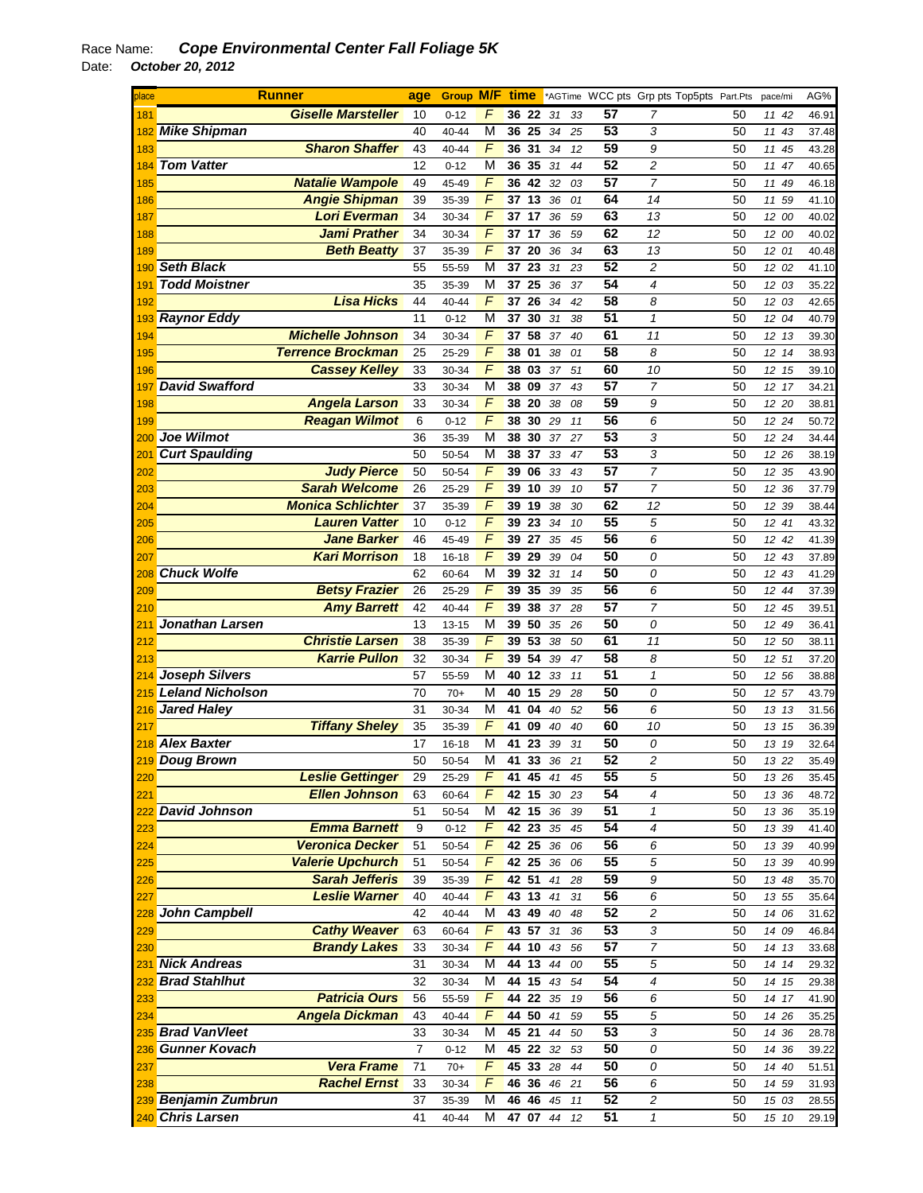| place | <b>Runner</b>           |                           | age            | <b>Group M/F</b> |                         | time  |          |    |    |    | *AGTime WCC pts Grp pts Top5pts Part.Pts |    | pace/mi  | AG%            |
|-------|-------------------------|---------------------------|----------------|------------------|-------------------------|-------|----------|----|----|----|------------------------------------------|----|----------|----------------|
| 181   |                         | <b>Giselle Marsteller</b> | 10             | $0 - 12$         | F                       |       | 36 22    | 31 | 33 | 57 | 7                                        | 50 | 11 42    | 46.91          |
| 182   | Mike Shipman            |                           | 40             | 40-44            | M                       | 36 25 |          | 34 | 25 | 53 | 3                                        | 50 | 11 43    | 37.48          |
| 183   |                         | <b>Sharon Shaffer</b>     | 43             | 40-44            | F                       | 36 31 |          | 34 | 12 | 59 | 9                                        | 50 | 11<br>45 | 43.28          |
| 184   | <b>Tom Vatter</b>       |                           | 12             | $0 - 12$         | M                       | 36    | 35       | 31 | 44 | 52 | 2                                        | 50 | 11<br>47 | 40.65          |
| 185   |                         | <b>Natalie Wampole</b>    | 49             | 45-49            | F                       |       | 36 42    | 32 | 03 | 57 | $\overline{7}$                           | 50 | 11 49    | 46.18          |
| 186   |                         | <b>Angie Shipman</b>      | 39             | 35-39            | F                       | 37    | 13       | 36 | 01 | 64 | 14                                       | 50 | 11 59    | 41.10          |
| 187   |                         | <b>Lori Everman</b>       | 34             | 30-34            | F                       | 37 17 |          | 36 | 59 | 63 | 13                                       | 50 | 12 00    | 40.02          |
| 188   |                         | <b>Jami Prather</b>       | 34             | 30-34            | F                       | 37 17 |          | 36 | 59 | 62 | 12                                       | 50 | 12 00    | 40.02          |
| 189   |                         | <b>Beth Beatty</b>        | 37             | 35-39            | F                       | 37 20 |          | 36 | 34 | 63 | 13                                       | 50 | 12 01    | 40.48          |
| 190   | <b>Seth Black</b>       |                           | 55             | 55-59            | M                       | 37    | 23       | 31 | 23 | 52 | $\overline{c}$                           | 50 | 12 02    | 41.10          |
| 191   | <b>Todd Moistner</b>    |                           | 35             | 35-39            | M                       | 37    | 25       | 36 | 37 | 54 | 4                                        | 50 | 12 03    | 35.22          |
| 192   |                         | <b>Lisa Hicks</b>         | 44             | 40-44            | $\overline{F}$          | 37    | 26       | 34 | 42 | 58 | 8                                        | 50 | 12 03    | 42.65          |
|       | <b>Raynor Eddy</b>      |                           | 11             | $0 - 12$         | M                       | 37    | 30       | 31 | 38 | 51 | 1                                        | 50 | 12 04    | 40.79          |
| 193   |                         | <b>Michelle Johnson</b>   | 34             |                  | F                       | 37    | 58       |    |    | 61 | 11                                       | 50 |          |                |
| 194   |                         | <b>Terrence Brockman</b>  |                | 30-34            | F                       |       |          | 37 | 40 | 58 |                                          |    | 12 13    | 39.30          |
| 195   |                         |                           | 25             | 25-29            |                         | 38    | 01       | 38 | 01 |    | 8                                        | 50 | 12 14    | 38.93          |
| 196   |                         | <b>Cassey Kelley</b>      | 33             | 30-34            | F                       | 38    | 03       | 37 | 51 | 60 | 10                                       | 50 | 12 15    | 39.10          |
| 197   | <b>David Swafford</b>   |                           | 33             | 30-34            | М                       | 38    | 09       | 37 | 43 | 57 | $\overline{7}$                           | 50 | 12 17    | 34.21          |
| 198   |                         | <b>Angela Larson</b>      | 33             | 30-34            | F                       | 38    | 20       | 38 | 08 | 59 | 9                                        | 50 | 12 20    | 38.81          |
| 199   |                         | <b>Reagan Wilmot</b>      | 6              | $0 - 12$         | F                       |       | 38 30    | 29 | 11 | 56 | 6                                        | 50 | 12 24    | 50.72          |
| 200   | <b>Joe Wilmot</b>       |                           | 36             | 35-39            | М                       | 38    | 30       | 37 | 27 | 53 | 3                                        | 50 | 12 24    | 34.44          |
| 201   | <b>Curt Spaulding</b>   |                           | 50             | 50-54            | M                       | 38    | 37       | 33 | 47 | 53 | 3                                        | 50 | 12 26    | 38.19          |
| 202   |                         | <b>Judy Pierce</b>        | 50             | 50-54            | F                       | 39 06 |          | 33 | 43 | 57 | 7                                        | 50 | 12 35    | 43.90          |
| 203   |                         | <b>Sarah Welcome</b>      | 26             | 25-29            | $\overline{F}$          |       | 39 10    | 39 | 10 | 57 | $\overline{7}$                           | 50 | 12 36    | 37.79          |
| 204   |                         | <b>Monica Schlichter</b>  | 37             | 35-39            | F                       | 39 19 |          | 38 | 30 | 62 | 12                                       | 50 | 12 39    | 38.44          |
| 205   |                         | <b>Lauren Vatter</b>      | 10             | $0 - 12$         | F                       | 39    | 23       | 34 | 10 | 55 | 5                                        | 50 | 12 41    | 43.32          |
| 206   |                         | <b>Jane Barker</b>        | 46             | 45-49            | F                       | 39 27 |          | 35 | 45 | 56 | 6                                        | 50 | 12 42    | 41.39          |
| 207   |                         | <b>Kari Morrison</b>      | 18             | 16-18            | F                       | 39 29 |          | 39 | 04 | 50 | 0                                        | 50 | 12 43    | 37.89          |
| 208   | <b>Chuck Wolfe</b>      |                           | 62             | 60-64            | M                       | 39    | 32 31    |    | 14 | 50 | 0                                        | 50 | 12 43    | 41.29          |
| 209   |                         | <b>Betsy Frazier</b>      | 26             | 25-29            | F                       | 39    | 35       | 39 | 35 | 56 | 6                                        | 50 | 12<br>44 | 37.39          |
| 210   |                         | <b>Amy Barrett</b>        | 42             | 40-44            | F                       | 39    | 38       | 37 | 28 | 57 | $\overline{7}$                           | 50 | 12 45    | 39.51          |
| 211   | Jonathan Larsen         |                           | 13             | 13-15            | M                       | 39    | 50       | 35 | 26 | 50 | 0                                        | 50 | 12 49    | 36.41          |
| 212   |                         | <b>Christie Larsen</b>    | 38             | 35-39            | F                       | 39 53 |          | 38 | 50 | 61 | 11                                       | 50 | 12 50    | 38.11          |
| 213   |                         | <b>Karrie Pullon</b>      | 32             | 30-34            | F                       | 39    | 54       | 39 | 47 | 58 | 8                                        | 50 | 12 51    | 37.20          |
| 214   | <b>Joseph Silvers</b>   |                           | 57             | 55-59            | М                       |       | 40 12    | 33 | 11 | 51 | 1                                        | 50 | 12 56    | 38.88          |
| 215   | <b>Leland Nicholson</b> |                           | 70             | $70+$            | М                       | 40    | 15       | 29 | 28 | 50 | 0                                        | 50 | 12 57    | 43.79          |
| 216   | <b>Jared Haley</b>      |                           | 31             | 30-34            | M                       | 41    | 04       | 40 | 52 | 56 | 6                                        | 50 | 13 13    | 31.56          |
| 217   |                         | <b>Tiffany Sheley</b>     | 35             | 35-39            | F                       | 41    | 09       | 40 | 40 | 60 | 10                                       | 50 | 13 15    | 36.39          |
|       | 218 Alex Baxter         |                           | 17             | 16-18            | М                       | 41    | 23       | 39 | 31 | 50 | 0                                        | 50 | 13 19    | 32.64          |
|       | 219 Doug Brown          |                           | 50             | 50-54            | $\overline{\mathsf{M}}$ | 41    | 33       | 36 | 21 | 52 | $\overline{\mathbf{c}}$                  | 50 | 13 22    | 35.49          |
| 220   |                         | <b>Leslie Gettinger</b>   | 29             | 25-29            | F                       |       | 41 45 41 |    | 45 | 55 | 5                                        | 50 | 13 26    | 35.45          |
| 221   |                         | <b>Ellen Johnson</b>      | 63             | 60-64            | F                       |       | 42 15    | 30 | 23 | 54 | 4                                        | 50 | 13 36    | 48.72          |
|       | 222 David Johnson       |                           | 51             | 50-54            | М                       |       | 42 15    | 36 | 39 | 51 | 1                                        | 50 | 13 36    | 35.19          |
| 223   |                         | <b>Emma Barnett</b>       | 9              | $0 - 12$         | F                       |       | 42 23 35 |    | 45 | 54 | 4                                        | 50 | 13 39    | 41.40          |
| 224   |                         | <b>Veronica Decker</b>    | 51             | 50-54            | F                       |       | 42 25 36 |    | 06 | 56 | 6                                        | 50 | 13 39    | 40.99          |
| 225   |                         | <b>Valerie Upchurch</b>   | 51             | 50-54            | F                       |       | 42 25 36 |    | 06 | 55 | 5                                        | 50 | 13 39    | 40.99          |
| 226   |                         | <b>Sarah Jefferis</b>     | 39             | 35-39            | $\overline{F}$          | 42 51 |          | 41 | 28 | 59 | 9                                        | 50 | 13 48    | 35.70          |
| 227   |                         | Leslie Warner             | 40             | 40-44            | F                       |       | 43 13 41 |    | 31 | 56 | 6                                        | 50 | 13 55    | 35.64          |
| 228   | John Campbell           |                           | 42             | 40-44            | M                       |       | 43 49    | 40 | 48 | 52 | $\overline{c}$                           | 50 | 14 06    |                |
| 229   |                         | <b>Cathy Weaver</b>       | 63             | 60-64            | F                       |       | 43 57    | 31 | 36 | 53 | 3                                        | 50 | 14 09    | 31.62<br>46.84 |
| 230   |                         | <b>Brandy Lakes</b>       | 33             | 30-34            | F                       |       | 44 10 43 |    | 56 | 57 | 7                                        | 50 | 14 13    | 33.68          |
| 231   | <b>Nick Andreas</b>     |                           | 31             | 30-34            | М                       |       | 44 13 44 |    | 00 | 55 | 5                                        | 50 | 14 14    | 29.32          |
|       | 232 Brad Stahlhut       |                           | 32             |                  | M                       |       | 44 15 43 |    |    | 54 | 4                                        |    |          |                |
|       |                         | <b>Patricia Ours</b>      |                | 30-34            | F                       |       |          |    | 54 | 56 |                                          | 50 | 14 15    | 29.38          |
| 233   |                         |                           | 56             | 55-59            |                         |       | 44 22 35 |    | 19 |    | 6                                        | 50 | 14 17    | 41.90          |
| 234   |                         | <b>Angela Dickman</b>     | 43             | 40-44            | $\overline{F}$          | 44    | 50       | 41 | 59 | 55 | 5                                        | 50 | 14 26    | 35.25          |
|       | 235 Brad VanVleet       |                           | 33             | 30-34            | M                       |       | 45 21 44 |    | 50 | 53 | 3                                        | 50 | 14 36    | 28.78          |
|       | 236 Gunner Kovach       |                           | $\overline{7}$ | $0 - 12$         | M                       |       | 45 22    | 32 | 53 | 50 | 0                                        | 50 | 14 36    | 39.22          |
| 237   |                         | <b>Vera Frame</b>         | 71             | $70+$            | F                       |       | 45 33 28 |    | 44 | 50 | 0                                        | 50 | 14 40    | 51.51          |
| 238   |                         | <b>Rachel Ernst</b>       | 33             | 30-34            | F                       | 46 36 |          | 46 | 21 | 56 | 6                                        | 50 | 14 59    | 31.93          |
|       | 239 Benjamin Zumbrun    |                           | 37             | 35-39            | М                       |       | 46 46 45 |    | 11 | 52 | 2                                        | 50 | 15 03    | 28.55          |
|       | 240 Chris Larsen        |                           | 41             | 40-44            | М                       |       | 47 07 44 |    | 12 | 51 | $\mathbf{1}$                             | 50 | 15 10    | 29.19          |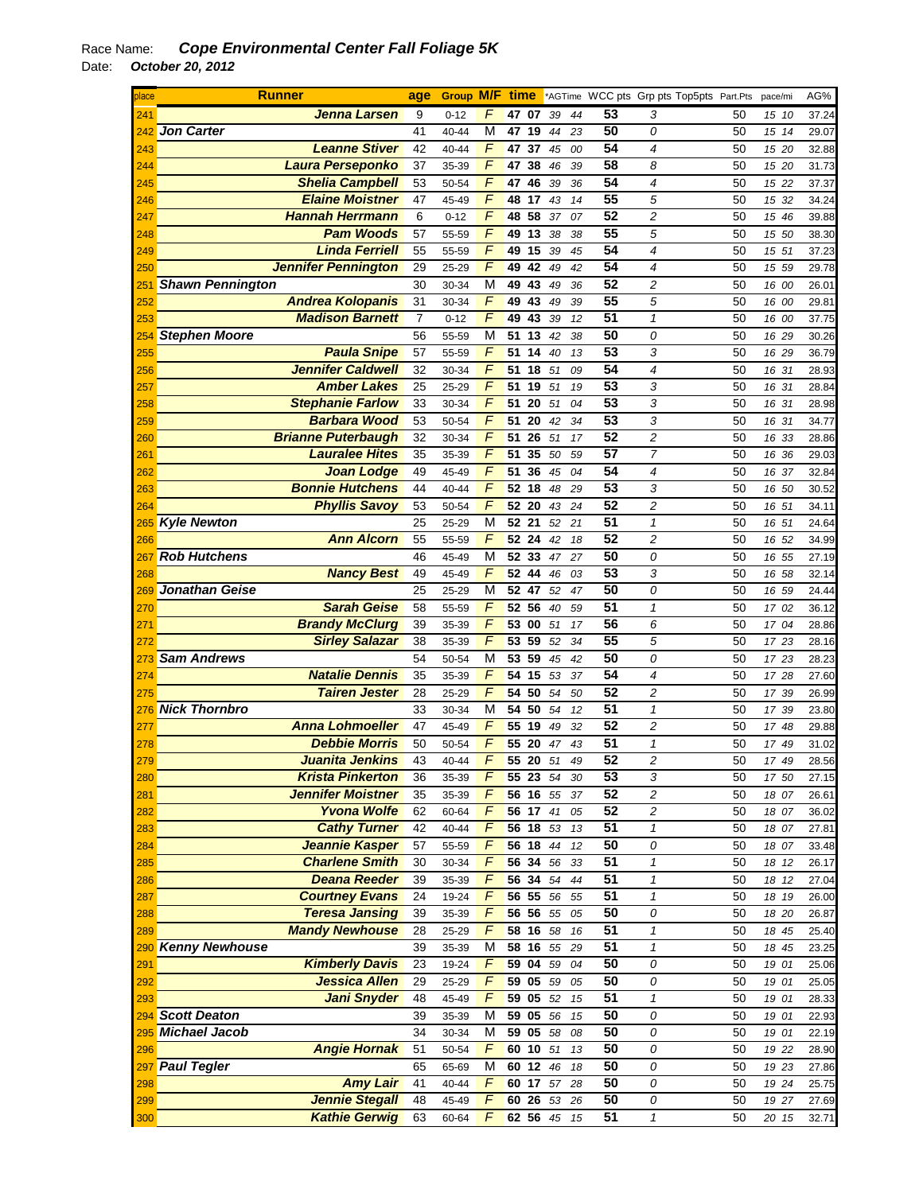| place | <b>Runner</b>              | age            | <b>Group M/F time</b> |                |       |          |    |    |                 | *AGTime WCC pts Grp pts Top5pts Part.Pts |    | pace/mi | AG%   |
|-------|----------------------------|----------------|-----------------------|----------------|-------|----------|----|----|-----------------|------------------------------------------|----|---------|-------|
| 241   | Jenna Larsen               | 9              | $0 - 12$              | F              | 47 07 |          | 39 | 44 | 53              | 3                                        | 50 | 15 10   | 37.24 |
| 242   | <b>Jon Carter</b>          | 41             | 40-44                 | M              |       | 47 19    | 44 | 23 | 50              | 0                                        | 50 | 15 14   | 29.07 |
| 243   | <b>Leanne Stiver</b>       | 42             | 40-44                 | F              | 47    | 37       | 45 | 00 | 54              | 4                                        | 50 | 15 20   | 32.88 |
| 244   | Laura Perseponko           | 37             | 35-39                 | F              | 47    | 38       | 46 | 39 | 58              | 8                                        | 50 | 15 20   | 31.73 |
| 245   | <b>Shelia Campbell</b>     | 53             | 50-54                 | F              | 47    | 46       | 39 | 36 | 54              | 4                                        | 50 | 15 22   | 37.37 |
| 246   | <b>Elaine Moistner</b>     | 47             | 45-49                 | $\overline{F}$ | 48 17 |          | 43 | 14 | 55              | 5                                        | 50 | 15 32   | 34.24 |
| 247   | <b>Hannah Herrmann</b>     | 6              | $0 - 12$              | F              | 48    | 58       | 37 | 07 | 52              | 2                                        | 50 | 15 46   | 39.88 |
| 248   | <b>Pam Woods</b>           | 57             | 55-59                 | F              | 49    | 13       | 38 | 38 | 55              | 5                                        | 50 | 15 50   | 38.30 |
| 249   | <b>Linda Ferriell</b>      | 55             | 55-59                 | F              |       | 49 15 39 |    | 45 | $\overline{54}$ | 4                                        | 50 | 15 51   | 37.23 |
| 250   | <b>Jennifer Pennington</b> | 29             | 25-29                 | $\overline{F}$ | 49    | 42       | 49 | 42 | 54              | $\overline{\mathcal{A}}$                 | 50 | 15 59   | 29.78 |
| 251   | <b>Shawn Pennington</b>    | 30             | 30-34                 | М              | 49    | 43       | 49 | 36 | 52              | $\overline{c}$                           | 50 | 16 00   | 26.01 |
| 252   | <b>Andrea Kolopanis</b>    | 31             | 30-34                 | F              | 49    | 43       | 49 | 39 | $\overline{55}$ | 5                                        | 50 | 16 00   | 29.81 |
| 253   | <b>Madison Barnett</b>     | $\overline{7}$ | $0 - 12$              | F              | 49    | 43       | 39 | 12 | 51              | $\mathbf{1}$                             | 50 | 16 00   | 37.75 |
| 254   | <b>Stephen Moore</b>       | 56             | 55-59                 | M              | 51    | 13       | 42 | 38 | 50              | 0                                        | 50 | 16 29   | 30.26 |
| 255   | <b>Paula Snipe</b>         | 57             | 55-59                 | F              | 51    | 14       | 40 | 13 | 53              | 3                                        | 50 | 16 29   | 36.79 |
| 256   | <b>Jennifer Caldwell</b>   | 32             | 30-34                 | F              | 51    | 18       | 51 | 09 | 54              | 4                                        | 50 | 16 31   | 28.93 |
| 257   | <b>Amber Lakes</b>         | 25             | 25-29                 | F              |       | 51 19    | 51 | 19 | 53              | 3                                        | 50 | 16 31   | 28.84 |
| 258   | <b>Stephanie Farlow</b>    | 33             | 30-34                 | F              | 51    | 20       | 51 | 04 | 53              | 3                                        | 50 | 16 31   | 28.98 |
| 259   | <b>Barbara Wood</b>        | 53             | 50-54                 | F              | 51    | 20       | 42 | 34 | 53              | 3                                        | 50 | 16 31   | 34.77 |
| 260   | <b>Brianne Puterbaugh</b>  | 32             | 30-34                 | F              | 51    | 26       | 51 | 17 | 52              | $\overline{c}$                           | 50 | 16 33   | 28.86 |
| 261   | <b>Lauralee Hites</b>      | 35             | 35-39                 | F              | 51    | 35       | 50 | 59 | 57              | $\overline{7}$                           | 50 | 16 36   | 29.03 |
| 262   | <b>Joan Lodge</b>          | 49             | 45-49                 | $\overline{F}$ | 51    | 36       | 45 | 04 | 54              | 4                                        | 50 | 16 37   | 32.84 |
| 263   | <b>Bonnie Hutchens</b>     | 44             | 40-44                 | $\overline{F}$ | 52 18 |          | 48 | 29 | 53              | 3                                        | 50 | 16 50   | 30.52 |
| 264   | <b>Phyllis Savoy</b>       | 53             | 50-54                 | F              | 52 20 |          | 43 | 24 | 52              | $\overline{c}$                           | 50 | 16 51   | 34.11 |
| 265   | <b>Kyle Newton</b>         | 25             | 25-29                 | М              | 52 21 |          | 52 | 21 | 51              | 1                                        | 50 | 16 51   | 24.64 |
| 266   | <b>Ann Alcorn</b>          | 55             | 55-59                 | F              | 52 24 |          | 42 | 18 | 52              | $\overline{c}$                           | 50 | 16 52   | 34.99 |
| 267   | <b>Rob Hutchens</b>        | 46             | 45-49                 | M              | 52 33 |          | 47 | 27 | 50              | 0                                        | 50 | 16 55   | 27.19 |
| 268   | <b>Nancy Best</b>          | 49             | 45-49                 | F              | 52    | 44       | 46 | 03 | 53              | 3                                        | 50 | 16 58   | 32.14 |
| 269   | Jonathan Geise             | 25             | 25-29                 | M              | 52 47 |          | 52 | 47 | 50              | 0                                        | 50 | 16 59   | 24.44 |
| 270   | <b>Sarah Geise</b>         | 58             | 55-59                 | F              | 52 56 |          | 40 | 59 | 51              | $\mathbf{1}$                             | 50 | 17 02   | 36.12 |
| 271   | <b>Brandy McClurg</b>      | 39             | 35-39                 | F              |       | 53 00    | 51 | 17 | 56              | 6                                        | 50 | 17 04   | 28.86 |
| 272   | <b>Sirley Salazar</b>      | 38             | 35-39                 | F              | 53 59 |          | 52 | 34 | 55              | 5                                        | 50 | 17 23   | 28.16 |
| 273   | <b>Sam Andrews</b>         | 54             | 50-54                 | М              | 53 59 |          | 45 | 42 | 50              | 0                                        | 50 | 17 23   | 28.23 |
| 274   | <b>Natalie Dennis</b>      | 35             | 35-39                 | F              |       | 54 15    | 53 | 37 | $\overline{54}$ | $\overline{4}$                           | 50 | 17 28   | 27.60 |
| 275   | <b>Tairen Jester</b>       | 28             | 25-29                 | $\overline{F}$ | 54 50 |          | 54 | 50 | 52              | $\overline{c}$                           | 50 | 17 39   | 26.99 |
| 276   | <b>Nick Thornbro</b>       | 33             | 30-34                 | M              | 54 50 |          | 54 | 12 | 51              | $\mathbf{1}$                             | 50 | 17 39   | 23.80 |
| 277   | <b>Anna Lohmoeller</b>     | 47             | 45-49                 | F              | 55    | 19       | 49 | 32 | 52              | $\overline{c}$                           | 50 | 17 48   | 29.88 |
| 278   | <b>Debbie Morris</b>       | 50             | 50-54                 | F              |       | 55 20    | 47 | 43 | 51              | $\mathbf{1}$                             | 50 | 17 49   | 31.02 |
| 279   | Juanita Jenkins            | 43             | 40-44                 | F              | 55 20 |          | 51 | 49 | 52              | 2                                        | 50 | 17 49   | 28.56 |
| 280   | <b>Krista Pinkerton</b>    | 36             | 35-39                 | F              |       | 55 23 54 |    | 30 | 53              | 3                                        | 50 | 17 50   | 27.15 |
| 281   | <b>Jennifer Moistner</b>   | 35             | 35-39                 | F              |       | 56 16    | 55 | 37 | 52              | 2                                        | 50 | 18 07   | 26.61 |
| 282   | <b>Yvona Wolfe</b>         | 62             | 60-64                 | F              |       | 56 17 41 |    | 05 | 52              | 2                                        | 50 | 18 07   | 36.02 |
| 283   | <b>Cathy Turner</b>        | 42             | 40-44                 | F              | 56 18 |          | 53 | 13 | 51              | 1                                        | 50 | 18 07   | 27.81 |
| 284   | Jeannie Kasper             | 57             | 55-59                 | F              | 56 18 |          | 44 | 12 | 50              | 0                                        | 50 | 18 07   | 33.48 |
| 285   | <b>Charlene Smith</b>      | 30             | 30-34                 | F              | 56    | 34       | 56 | 33 | 51              | $\mathbf{1}$                             | 50 | 18 12   | 26.17 |
| 286   | <b>Deana Reeder</b>        | 39             | 35-39                 | $\overline{F}$ | 56 34 |          | 54 | 44 | 51              | $\pmb{\mathcal{1}}$                      | 50 | 18 12   | 27.04 |
| 287   | <b>Courtney Evans</b>      | 24             | 19-24                 | F              | 56 55 |          | 56 | 55 | 51              | $\mathbf{1}$                             | 50 | 18 19   | 26.00 |
| 288   | <b>Teresa Jansing</b>      | 39             | 35-39                 | F              |       | 56 56    | 55 | 05 | 50              | 0                                        | 50 | 18 20   | 26.87 |
| 289   | <b>Mandy Newhouse</b>      | 28             | 25-29                 | F              |       | 58 16    | 58 | 16 | 51              | 1                                        | 50 | 18 45   | 25.40 |
|       | 290 Kenny Newhouse         | 39             | 35-39                 | М              | 58 16 |          | 55 | 29 | 51              | 1                                        | 50 | 18 45   | 23.25 |
| 291   | <b>Kimberly Davis</b>      | 23             | 19-24                 | F              |       | 59 04 59 |    | 04 | 50              | 0                                        | 50 | 19 01   | 25.06 |
| 292   | Jessica Allen              | 29             | 25-29                 | $\overline{F}$ |       | 59 05 59 |    | 05 | 50              | 0                                        | 50 | 19 01   | 25.05 |
| 293   | <b>Jani Snyder</b>         | 48             | 45-49                 | F              | 59    | 05       | 52 | 15 | 51              | $\mathbf{1}$                             | 50 | 19 01   | 28.33 |
|       | 294 Scott Deaton           | 39             | 35-39                 | M              | 59 05 |          | 56 | 15 | 50              | 0                                        | 50 | 19 01   | 22.93 |
| 295   | Michael Jacob              | 34             | 30-34                 | M              |       | 59 05 58 |    | 08 | 50              | 0                                        | 50 | 19 01   | 22.19 |
| 296   | <b>Angie Hornak</b>        | 51             | 50-54                 | F              |       | 60 10 51 |    | 13 | 50              | 0                                        | 50 | 19 22   | 28.90 |
| 297   | <b>Paul Tegler</b>         | 65             | 65-69                 | M              |       | 60 12 46 |    | 18 | 50              | 0                                        | 50 | 19 23   | 27.86 |
| 298   | <b>Amy Lair</b>            | 41             | 40-44                 | F              | 60 17 |          | 57 | 28 | 50              | 0                                        | 50 | 19 24   | 25.75 |
| 299   | <b>Jennie Stegall</b>      | 48             | 45-49                 | $\overline{F}$ |       | 60 26 53 |    | 26 | 50              | 0                                        | 50 | 19 27   | 27.69 |
| 300   | <b>Kathie Gerwig</b>       | 63             | 60-64                 | F              |       | 62 56 45 |    | 15 | 51              | $\mathbf{1}$                             | 50 | 20 15   | 32.71 |
|       |                            |                |                       |                |       |          |    |    |                 |                                          |    |         |       |